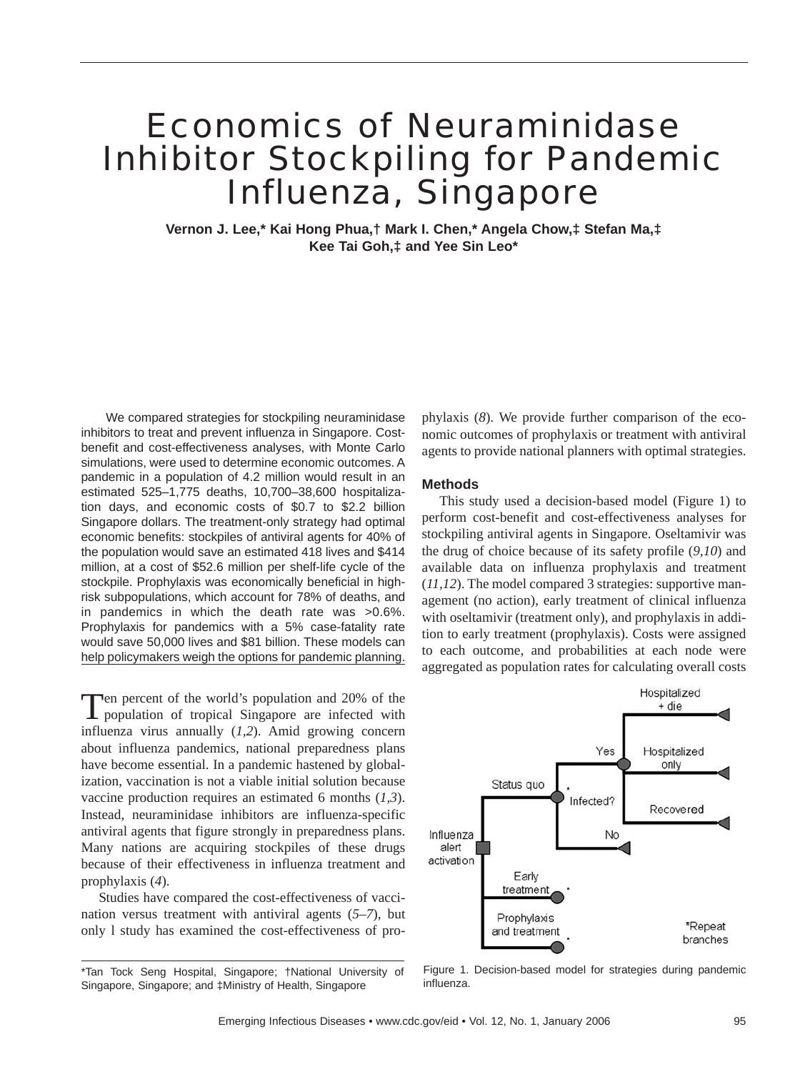# Economics of Neuraminidase Inhibitor Stockpiling for Pandemic Influenza, Singapore

**Vernon J. Lee,\* Kai Hong Phua,† Mark I. Chen,\* Angela Chow,‡ Stefan Ma,‡ Kee Tai Goh,‡ and Yee Sin Leo\*** 

We compared strategies for stockpiling neuraminidase inhibitors to treat and prevent influenza in Singapore. Costbenefit and cost-effectiveness analyses, with Monte Carlo simulations, were used to determine economic outcomes. A pandemic in a population of 4.2 million would result in an estimated 525–1,775 deaths, 10,700–38,600 hospitalization days, and economic costs of \$0.7 to \$2.2 billion Singapore dollars. The treatment-only strategy had optimal economic benefits: stockpiles of antiviral agents for 40% of the population would save an estimated 418 lives and \$414 million, at a cost of \$52.6 million per shelf-life cycle of the stockpile. Prophylaxis was economically beneficial in highrisk subpopulations, which account for 78% of deaths, and in pandemics in which the death rate was >0.6%. Prophylaxis for pandemics with a 5% case-fatality rate would save 50,000 lives and \$81 billion. These models can help policymakers weigh the options for pandemic planning.

Ten percent of the world's population and 20% of the population of tropical Singapore are infected with influenza virus annually (*1,2*). Amid growing concern about influenza pandemics, national preparedness plans have become essential. In a pandemic hastened by globalization, vaccination is not a viable initial solution because vaccine production requires an estimated 6 months (*1,3*). Instead, neuraminidase inhibitors are influenza-specific antiviral agents that figure strongly in preparedness plans. Many nations are acquiring stockpiles of these drugs because of their effectiveness in influenza treatment and prophylaxis (*4*).

Studies have compared the cost-effectiveness of vaccination versus treatment with antiviral agents (*5–7*), but only l study has examined the cost-effectiveness of prophylaxis (*8*). We provide further comparison of the economic outcomes of prophylaxis or treatment with antiviral agents to provide national planners with optimal strategies.

# **Methods**

This study used a decision-based model (Figure 1) to perform cost-benefit and cost-effectiveness analyses for stockpiling antiviral agents in Singapore. Oseltamivir was the drug of choice because of its safety profile (*9,10*) and available data on influenza prophylaxis and treatment (*11,12*). The model compared 3 strategies: supportive management (no action), early treatment of clinical influenza with oseltamivir (treatment only), and prophylaxis in addition to early treatment (prophylaxis). Costs were assigned to each outcome, and probabilities at each node were aggregated as population rates for calculating overall costs



Figure 1. Decision-based model for strategies during pandemic influenza.

<sup>\*</sup>Tan Tock Seng Hospital, Singapore; †National University of Singapore, Singapore; and ‡Ministry of Health, Singapore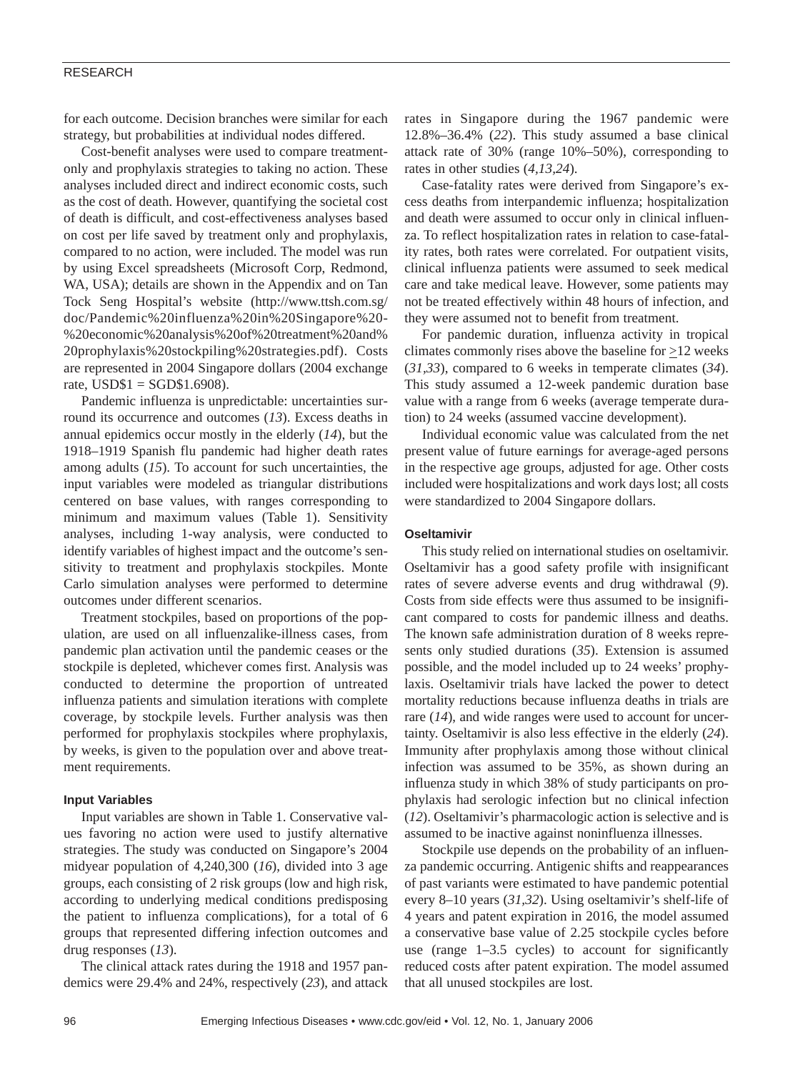## RESEARCH

for each outcome. Decision branches were similar for each strategy, but probabilities at individual nodes differed.

Cost-benefit analyses were used to compare treatmentonly and prophylaxis strategies to taking no action. These analyses included direct and indirect economic costs, such as the cost of death. However, quantifying the societal cost of death is difficult, and cost-effectiveness analyses based on cost per life saved by treatment only and prophylaxis, compared to no action, were included. The model was run by using Excel spreadsheets (Microsoft Corp, Redmond, WA, USA); details are shown in the Appendix and on Tan Tock Seng Hospital's website (http://www.ttsh.com.sg/ doc/Pandemic%20influenza%20in%20Singapore%20- %20economic%20analysis%20of%20treatment%20and% 20prophylaxis%20stockpiling%20strategies.pdf). Costs are represented in 2004 Singapore dollars (2004 exchange rate,  $USD$1 = SGD$1.6908$ ).

Pandemic influenza is unpredictable: uncertainties surround its occurrence and outcomes (*13*). Excess deaths in annual epidemics occur mostly in the elderly (*14*), but the 1918–1919 Spanish flu pandemic had higher death rates among adults (*15*). To account for such uncertainties, the input variables were modeled as triangular distributions centered on base values, with ranges corresponding to minimum and maximum values (Table 1). Sensitivity analyses, including 1-way analysis, were conducted to identify variables of highest impact and the outcome's sensitivity to treatment and prophylaxis stockpiles. Monte Carlo simulation analyses were performed to determine outcomes under different scenarios.

Treatment stockpiles, based on proportions of the population, are used on all influenzalike-illness cases, from pandemic plan activation until the pandemic ceases or the stockpile is depleted, whichever comes first. Analysis was conducted to determine the proportion of untreated influenza patients and simulation iterations with complete coverage, by stockpile levels. Further analysis was then performed for prophylaxis stockpiles where prophylaxis, by weeks, is given to the population over and above treatment requirements.

# **Input Variables**

Input variables are shown in Table 1. Conservative values favoring no action were used to justify alternative strategies. The study was conducted on Singapore's 2004 midyear population of 4,240,300 (*16*), divided into 3 age groups, each consisting of 2 risk groups (low and high risk, according to underlying medical conditions predisposing the patient to influenza complications), for a total of 6 groups that represented differing infection outcomes and drug responses (*13*).

The clinical attack rates during the 1918 and 1957 pandemics were 29.4% and 24%, respectively (*23*), and attack rates in Singapore during the 1967 pandemic were 12.8%–36.4% (*22*). This study assumed a base clinical attack rate of 30% (range 10%–50%), corresponding to rates in other studies (*4,13,24*).

Case-fatality rates were derived from Singapore's excess deaths from interpandemic influenza; hospitalization and death were assumed to occur only in clinical influenza. To reflect hospitalization rates in relation to case-fatality rates, both rates were correlated. For outpatient visits, clinical influenza patients were assumed to seek medical care and take medical leave. However, some patients may not be treated effectively within 48 hours of infection, and they were assumed not to benefit from treatment.

For pandemic duration, influenza activity in tropical climates commonly rises above the baseline for  $\geq$ 12 weeks (*31,33*), compared to 6 weeks in temperate climates (*34*). This study assumed a 12-week pandemic duration base value with a range from 6 weeks (average temperate duration) to 24 weeks (assumed vaccine development).

Individual economic value was calculated from the net present value of future earnings for average-aged persons in the respective age groups, adjusted for age. Other costs included were hospitalizations and work days lost; all costs were standardized to 2004 Singapore dollars.

# **Oseltamivir**

This study relied on international studies on oseltamivir. Oseltamivir has a good safety profile with insignificant rates of severe adverse events and drug withdrawal (*9*). Costs from side effects were thus assumed to be insignificant compared to costs for pandemic illness and deaths. The known safe administration duration of 8 weeks represents only studied durations (*35*). Extension is assumed possible, and the model included up to 24 weeks' prophylaxis. Oseltamivir trials have lacked the power to detect mortality reductions because influenza deaths in trials are rare (*14*), and wide ranges were used to account for uncertainty. Oseltamivir is also less effective in the elderly (*24*). Immunity after prophylaxis among those without clinical infection was assumed to be 35%, as shown during an influenza study in which 38% of study participants on prophylaxis had serologic infection but no clinical infection (*12*). Oseltamivir's pharmacologic action is selective and is assumed to be inactive against noninfluenza illnesses.

Stockpile use depends on the probability of an influenza pandemic occurring. Antigenic shifts and reappearances of past variants were estimated to have pandemic potential every 8–10 years (*31,32*). Using oseltamivir's shelf-life of 4 years and patent expiration in 2016, the model assumed a conservative base value of 2.25 stockpile cycles before use (range 1–3.5 cycles) to account for significantly reduced costs after patent expiration. The model assumed that all unused stockpiles are lost.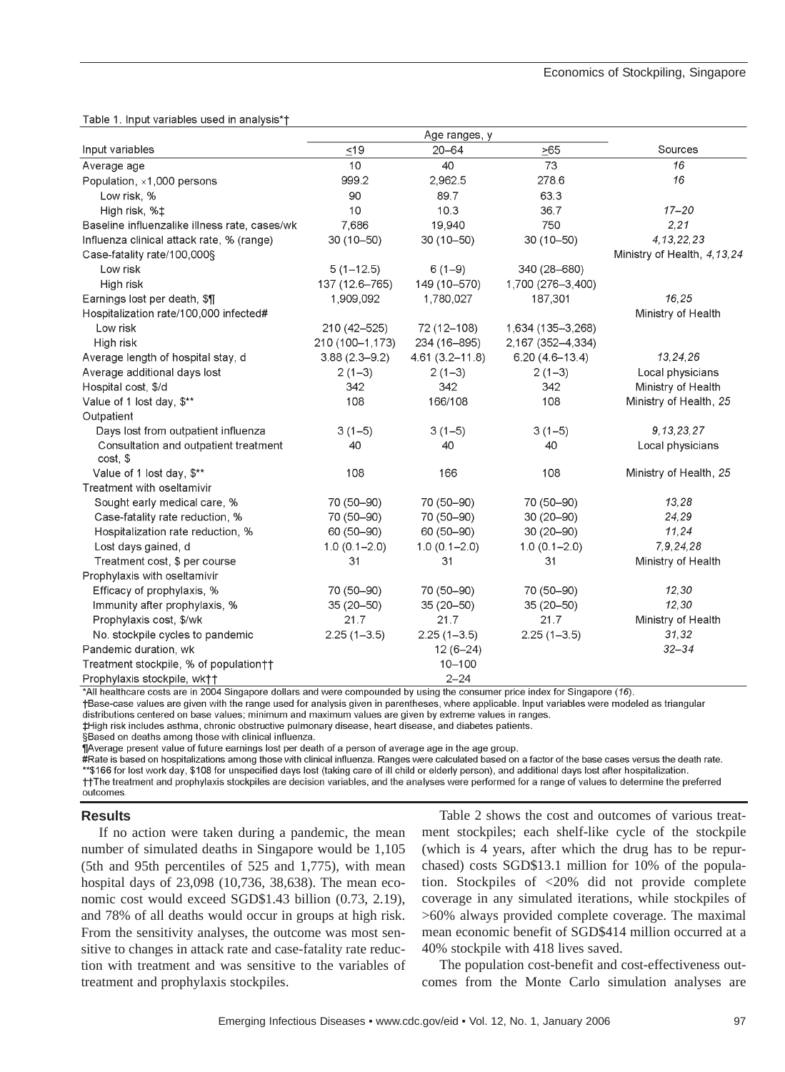Table 1. Input variables used in analysis\*t

| Input variables                                   | $\leq 19$         | $20 - 64$          | >65                | Sources                     |
|---------------------------------------------------|-------------------|--------------------|--------------------|-----------------------------|
| Average age                                       | 10                | 40                 | 73                 | 16                          |
| Population, x1,000 persons                        | 999.2             | 2,962.5            | 278.6              | 16                          |
| Low risk, %                                       | 90                | 89.7               | 63.3               |                             |
| High risk, % <sup>+</sup>                         | 10                | 10.3               | 36.7               | $17 - 20$                   |
| Baseline influenzalike illness rate, cases/wk     | 7.686             | 19,940             | 750                | 2.21                        |
| Influenza clinical attack rate, % (range)         | $30(10 - 50)$     | 30 (10-50)         | 30 (10-50)         | 4, 13, 22, 23               |
| Case-fatality rate/100,000§                       |                   |                    |                    | Ministry of Health, 4,13,24 |
| Low risk                                          | $5(1-12.5)$       | $6(1-9)$           | 340 (28-680)       |                             |
| High risk                                         | 137 (12.6-765)    | 149 (10-570)       | 1,700 (276-3,400)  |                             |
| Earnings lost per death, \$1                      | 1,909,092         | 1,780,027          | 187,301            | 16,25                       |
| Hospitalization rate/100,000 infected#            |                   |                    |                    | Ministry of Health          |
| Low risk                                          | 210 (42-525)      | 72 (12-108)        | 1,634 (135-3,268)  |                             |
| High risk                                         | 210 (100-1,173)   | 234 (16-895)       | 2,167 (352-4,334)  |                             |
| Average length of hospital stay, d                | $3.88(2.3 - 9.2)$ | $4.61(3.2 - 11.8)$ | $6.20(4.6 - 13.4)$ | 13, 24, 26                  |
| Average additional days lost                      | $2(1-3)$          | $2(1-3)$           | $2(1-3)$           | Local physicians            |
| Hospital cost, \$/d                               | 342               | 342                | 342                | Ministry of Health          |
| Value of 1 lost day, \$**                         | 108               | 166/108            | 108                | Ministry of Health, 25      |
| Outpatient                                        |                   |                    |                    |                             |
| Days lost from outpatient influenza               | $3(1-5)$          | $3(1-5)$           | $3(1-5)$           | 9, 13, 23, 27               |
| Consultation and outpatient treatment<br>cost, \$ | 40                | 40                 | 40                 | Local physicians            |
| Value of 1 lost day, \$**                         | 108               | 166                | 108                | Ministry of Health, 25      |
| Treatment with oseltamivir                        |                   |                    |                    |                             |
| Sought early medical care, %                      | 70 (50-90)        | 70 (50-90)         | 70 (50-90)         | 13,28                       |
| Case-fatality rate reduction, %                   | 70 (50-90)        | 70 (50-90)         | $30(20-90)$        | 24,29                       |
| Hospitalization rate reduction, %                 | 60 (50-90)        | 60 (50-90)         | $30(20-90)$        | 11,24                       |
| Lost days gained, d                               | $1.0(0.1 - 2.0)$  | $1.0(0.1 - 2.0)$   | $1.0(0.1 - 2.0)$   | 7,9,24,28                   |
| Treatment cost, \$ per course                     | 31                | 31                 | 31                 | Ministry of Health          |
| Prophylaxis with oseltamivir                      |                   |                    |                    |                             |
| Efficacy of prophylaxis, %                        | 70 (50-90)        | 70 (50-90)         | 70 (50-90)         | 12,30                       |
| Immunity after prophylaxis, %                     | 35 (20-50)        | 35 (20-50)         | 35 (20-50)         | 12,30                       |
| Prophylaxis cost, \$/wk                           | 21.7              | 21.7               | 21.7               | Ministry of Health          |
| No. stockpile cycles to pandemic                  | $2.25(1-3.5)$     | $2.25(1 - 3.5)$    | $2.25(1 - 3.5)$    | 31,32                       |
| Pandemic duration, wk                             |                   | $12(6-24)$         |                    | $32 - 34$                   |
| Treatment stockpile, % of population††            |                   | $10 - 100$         |                    |                             |
| Prophylaxis stockpile, wktt                       |                   | $2 - 24$           |                    |                             |

\*All healthcare costs are in 2004 Singapore dollars and were compounded by using the consumer price index for Singapore (16).

†Base-case values are given with the range used for analysis given in parentheses, where applicable. Input variables were modeled as triangular distributions centered on base values; minimum and maximum values are given by extreme values in ranges.

#High risk includes asthma, chronic obstructive pulmonary disease, heart disease, and diabetes patients.

§Based on deaths among those with clinical influenza.

¶Average present value of future earnings lost per death of a person of average age in the age group.

#Rate is based on hospitalizations among those with clinical influenza. Ranges were calculated based on a factor of the base cases versus the death rate. \*\*\$166 for lost work day, \$108 for unspecified days lost (taking care of ill child or elderly person), and additional days lost after hospitalization. ††The treatment and prophylaxis stockpiles are decision variables, and the analyses were performed for a range of values to determine the preferred outcomes.

## **Results**

If no action were taken during a pandemic, the mean number of simulated deaths in Singapore would be 1,105 (5th and 95th percentiles of 525 and 1,775), with mean hospital days of 23,098 (10,736, 38,638). The mean economic cost would exceed SGD\$1.43 billion (0.73, 2.19), and 78% of all deaths would occur in groups at high risk. From the sensitivity analyses, the outcome was most sensitive to changes in attack rate and case-fatality rate reduction with treatment and was sensitive to the variables of treatment and prophylaxis stockpiles.

Table 2 shows the cost and outcomes of various treatment stockpiles; each shelf-like cycle of the stockpile (which is 4 years, after which the drug has to be repurchased) costs SGD\$13.1 million for 10% of the population. Stockpiles of <20% did not provide complete coverage in any simulated iterations, while stockpiles of >60% always provided complete coverage. The maximal mean economic benefit of SGD\$414 million occurred at a 40% stockpile with 418 lives saved.

The population cost-benefit and cost-effectiveness outcomes from the Monte Carlo simulation analyses are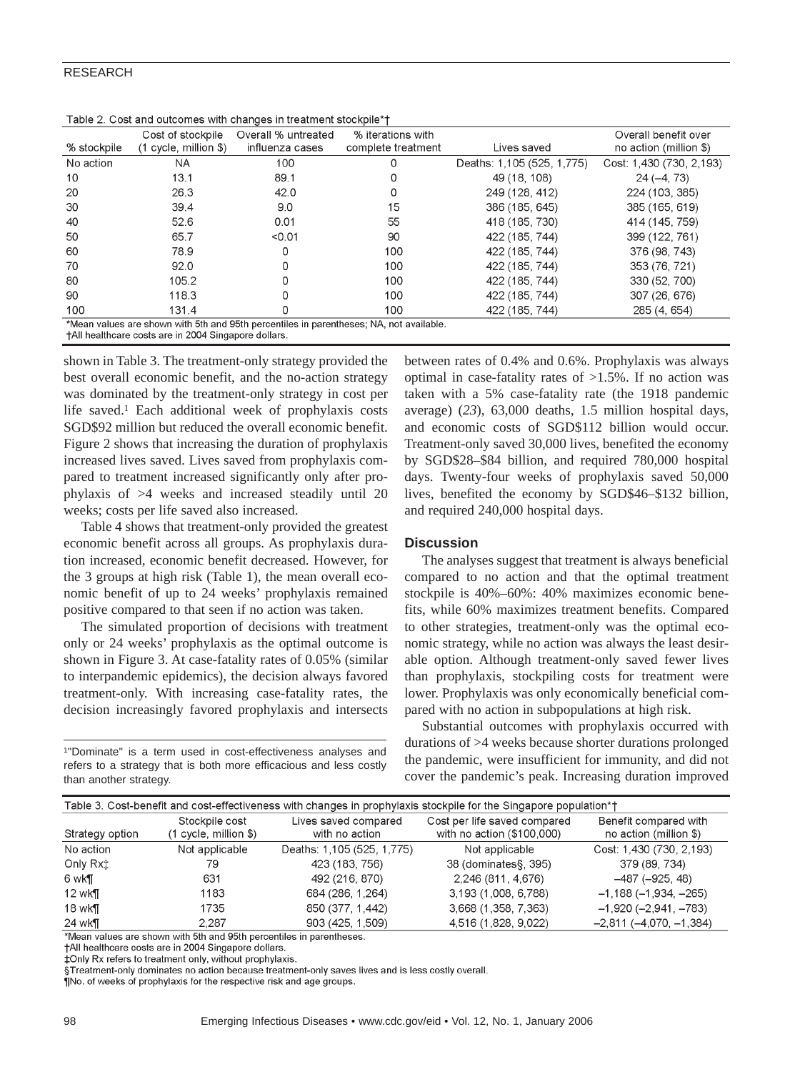# RESEARCH

| Table 2. Cost and outcomes with changes in treatment stockpile*†                       |                         |                     |                    |                            |                          |  |
|----------------------------------------------------------------------------------------|-------------------------|---------------------|--------------------|----------------------------|--------------------------|--|
|                                                                                        | Cost of stockpile       | Overall % untreated | % iterations with  |                            | Overall benefit over     |  |
| % stockpile                                                                            | $(1$ cycle, million \$) | influenza cases     | complete treatment | Lives saved                | no action (million \$)   |  |
| No action                                                                              | ΝA                      | 100                 |                    | Deaths: 1,105 (525, 1,775) | Cost: 1,430 (730, 2,193) |  |
| 10                                                                                     | 13.1                    | 89.1                | 0                  | 49 (18, 108)               | $24(-4, 73)$             |  |
| 20                                                                                     | 26.3                    | 42.0                | 0                  | 249 (128, 412)             | 224 (103, 385)           |  |
| 30                                                                                     | 39.4                    | 9.0                 | 15                 | 386 (185, 645)             | 385 (165, 619)           |  |
| 40                                                                                     | 52.6                    | 0.01                | 55                 | 418 (185, 730)             | 414 (145, 759)           |  |
| 50                                                                                     | 65.7                    | < 0.01              | 90                 | 422 (185, 744)             | 399 (122, 761)           |  |
| 60                                                                                     | 78.9                    | Ω                   | 100                | 422 (185, 744)             | 376 (98, 743)            |  |
| 70                                                                                     | 92.0                    | 0                   | 100                | 422 (185, 744)             | 353 (76, 721)            |  |
| 80                                                                                     | 105.2                   |                     | 100                | 422 (185, 744)             | 330 (52, 700)            |  |
| 90                                                                                     | 118.3                   | O                   | 100                | 422 (185, 744)             | 307 (26, 676)            |  |
| 100                                                                                    | 131.4                   | Ω                   | 100                | 422 (185, 744)             | 285 (4, 654)             |  |
| *Mean values are shown with 5th and 95th perceptiles in parentheses: NA, not available |                         |                     |                    |                            |                          |  |

| Table 2. Cost and outcomes with changes in treatment stockpile*+ |  |  |  |
|------------------------------------------------------------------|--|--|--|
|                                                                  |  |  |  |

†All healthcare costs are in 2004 Singapore dollars

shown in Table 3. The treatment-only strategy provided the best overall economic benefit, and the no-action strategy was dominated by the treatment-only strategy in cost per life saved.<sup>1</sup> Each additional week of prophylaxis costs SGD\$92 million but reduced the overall economic benefit. Figure 2 shows that increasing the duration of prophylaxis increased lives saved. Lives saved from prophylaxis compared to treatment increased significantly only after prophylaxis of >4 weeks and increased steadily until 20 weeks; costs per life saved also increased.

Table 4 shows that treatment-only provided the greatest economic benefit across all groups. As prophylaxis duration increased, economic benefit decreased. However, for the 3 groups at high risk (Table 1), the mean overall economic benefit of up to 24 weeks' prophylaxis remained positive compared to that seen if no action was taken.

The simulated proportion of decisions with treatment only or 24 weeks' prophylaxis as the optimal outcome is shown in Figure 3. At case-fatality rates of 0.05% (similar to interpandemic epidemics), the decision always favored treatment-only. With increasing case-fatality rates, the decision increasingly favored prophylaxis and intersects

1"Dominate" is a term used in cost-effectiveness analyses and refers to a strategy that is both more efficacious and less costly than another strategy.

between rates of 0.4% and 0.6%. Prophylaxis was always optimal in case-fatality rates of  $>1.5\%$ . If no action was taken with a 5% case-fatality rate (the 1918 pandemic average) (*23*), 63,000 deaths, 1.5 million hospital days, and economic costs of SGD\$112 billion would occur. Treatment-only saved 30,000 lives, benefited the economy by SGD\$28–\$84 billion, and required 780,000 hospital days. Twenty-four weeks of prophylaxis saved 50,000 lives, benefited the economy by SGD\$46–\$132 billion, and required 240,000 hospital days.

# **Discussion**

The analyses suggest that treatment is always beneficial compared to no action and that the optimal treatment stockpile is 40%–60%: 40% maximizes economic benefits, while 60% maximizes treatment benefits. Compared to other strategies, treatment-only was the optimal economic strategy, while no action was always the least desirable option. Although treatment-only saved fewer lives than prophylaxis, stockpiling costs for treatment were lower. Prophylaxis was only economically beneficial compared with no action in subpopulations at high risk.

Substantial outcomes with prophylaxis occurred with durations of >4 weeks because shorter durations prolonged the pandemic, were insufficient for immunity, and did not cover the pandemic's peak. Increasing duration improved

| Table 3. Cost-benefit and cost-effectiveness with changes in prophylaxis stockpile for the Singapore population*† |                                           |                                        |                                                            |                                                 |  |  |
|-------------------------------------------------------------------------------------------------------------------|-------------------------------------------|----------------------------------------|------------------------------------------------------------|-------------------------------------------------|--|--|
| Strategy option                                                                                                   | Stockpile cost<br>$(1$ cycle, million \$) | Lives saved compared<br>with no action | Cost per life saved compared<br>with no action (\$100,000) | Benefit compared with<br>no action (million \$) |  |  |
| No action                                                                                                         | Not applicable                            | Deaths: 1,105 (525, 1,775)             | Not applicable                                             | Cost: 1,430 (730, 2,193)                        |  |  |
| Only Rxt                                                                                                          | 79                                        | 423 (183, 756)                         | 38 (dominates§, 395)                                       | 379 (89, 734)                                   |  |  |
| 6 wk¶                                                                                                             | 631                                       | 492 (216, 870)                         | 2,246 (811, 4,676)                                         | $-487 (-925, 48)$                               |  |  |
| $12$ wk $\P$                                                                                                      | 1183                                      | 684 (286, 1,264)                       | 3,193 (1,008, 6,788)                                       | $-1,188(-1,934,-265)$                           |  |  |
| 18 wk $\P$                                                                                                        | 1735                                      | 850 (377, 1,442)                       | 3,668 (1,358, 7,363)                                       | $-1,920 (-2,941, -783)$                         |  |  |
| 24 wk¶                                                                                                            | 2.287                                     | 903 (425, 1,509)                       | 4,516 (1,828, 9,022)                                       | $-2,811 (-4,070,-1,384)$                        |  |  |

\*Mean values are shown with 5th and 95th percentiles in parentheses.

†All healthcare costs are in 2004 Singapore dollars.

‡Only Rx refers to treatment only, without prophylaxis.

§Treatment-only dominates no action because treatment-only saves lives and is less costly overall.

¶No. of weeks of prophylaxis for the respective risk and age groups.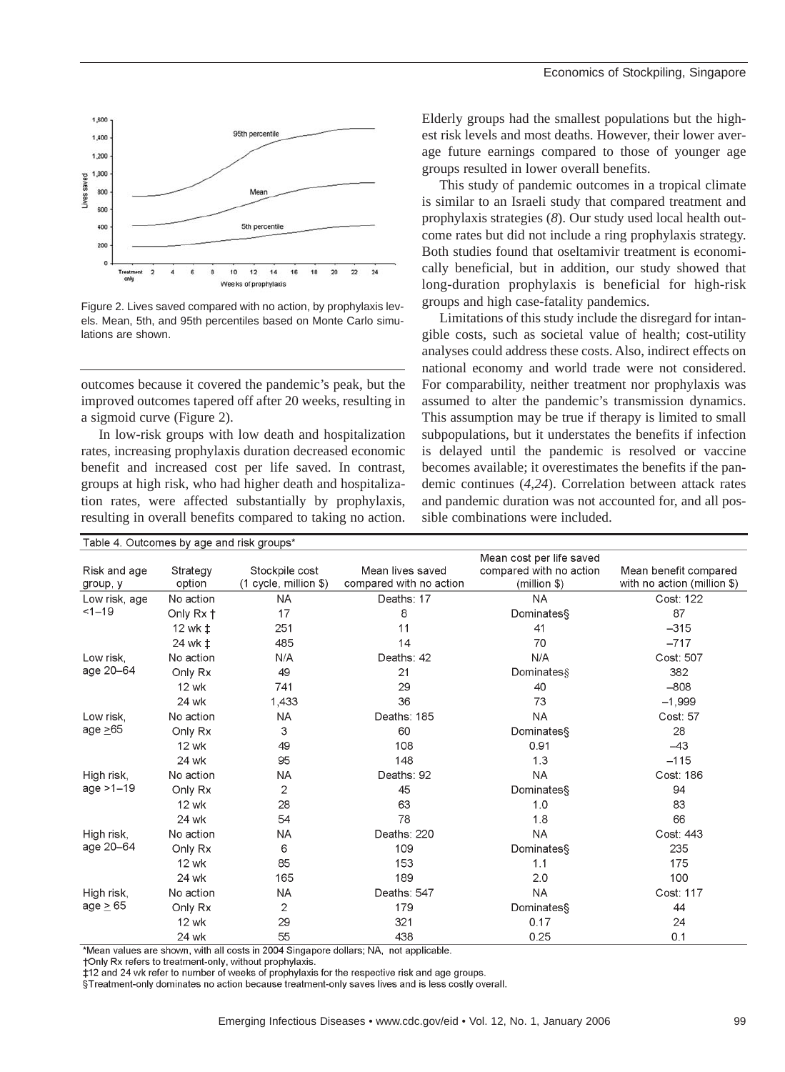

Figure 2. Lives saved compared with no action, by prophylaxis levels. Mean, 5th, and 95th percentiles based on Monte Carlo simulations are shown.

outcomes because it covered the pandemic's peak, but the improved outcomes tapered off after 20 weeks, resulting in a sigmoid curve (Figure 2).

In low-risk groups with low death and hospitalization rates, increasing prophylaxis duration decreased economic benefit and increased cost per life saved. In contrast, groups at high risk, who had higher death and hospitalization rates, were affected substantially by prophylaxis, resulting in overall benefits compared to taking no action. Elderly groups had the smallest populations but the highest risk levels and most deaths. However, their lower average future earnings compared to those of younger age groups resulted in lower overall benefits.

This study of pandemic outcomes in a tropical climate is similar to an Israeli study that compared treatment and prophylaxis strategies (*8*). Our study used local health outcome rates but did not include a ring prophylaxis strategy. Both studies found that oseltamivir treatment is economically beneficial, but in addition, our study showed that long-duration prophylaxis is beneficial for high-risk groups and high case-fatality pandemics.

Limitations of this study include the disregard for intangible costs, such as societal value of health; cost-utility analyses could address these costs. Also, indirect effects on national economy and world trade were not considered. For comparability, neither treatment nor prophylaxis was assumed to alter the pandemic's transmission dynamics. This assumption may be true if therapy is limited to small subpopulations, but it understates the benefits if infection is delayed until the pandemic is resolved or vaccine becomes available; it overestimates the benefits if the pandemic continues (*4,24*). Correlation between attack rates and pandemic duration was not accounted for, and all possible combinations were included.

| Table 4. Outcomes by age and risk groups |                                                                                                       |                                                                                   |                                                                                          |                                                                                                     |  |  |
|------------------------------------------|-------------------------------------------------------------------------------------------------------|-----------------------------------------------------------------------------------|------------------------------------------------------------------------------------------|-----------------------------------------------------------------------------------------------------|--|--|
|                                          |                                                                                                       |                                                                                   | Mean cost per life saved                                                                 |                                                                                                     |  |  |
|                                          |                                                                                                       |                                                                                   |                                                                                          | Mean benefit compared<br>with no action (million \$)                                                |  |  |
|                                          |                                                                                                       |                                                                                   |                                                                                          |                                                                                                     |  |  |
|                                          |                                                                                                       |                                                                                   |                                                                                          | Cost: 122                                                                                           |  |  |
|                                          |                                                                                                       |                                                                                   |                                                                                          | 87                                                                                                  |  |  |
|                                          |                                                                                                       |                                                                                   |                                                                                          | $-315$                                                                                              |  |  |
|                                          |                                                                                                       |                                                                                   |                                                                                          | $-717$                                                                                              |  |  |
|                                          |                                                                                                       |                                                                                   |                                                                                          | Cost: 507                                                                                           |  |  |
| Only Rx                                  | 49                                                                                                    | 21                                                                                | Dominates                                                                                | 382                                                                                                 |  |  |
| 12 wk                                    | 741                                                                                                   | 29                                                                                | 40                                                                                       | $-808$                                                                                              |  |  |
| 24 wk                                    | 1,433                                                                                                 | 36                                                                                | 73                                                                                       | $-1,999$                                                                                            |  |  |
| No action                                | <b>NA</b>                                                                                             | Deaths: 185                                                                       | <b>NA</b>                                                                                | Cost: 57                                                                                            |  |  |
| Only Rx                                  | 3                                                                                                     | 60                                                                                | Dominates                                                                                | 28                                                                                                  |  |  |
| 12 wk                                    | 49                                                                                                    | 108                                                                               | 0.91                                                                                     | $-43$                                                                                               |  |  |
| 24 wk                                    | 95                                                                                                    | 148                                                                               | 1.3                                                                                      | $-115$                                                                                              |  |  |
| No action                                | <b>NA</b>                                                                                             | Deaths: 92                                                                        | <b>NA</b>                                                                                | Cost: 186                                                                                           |  |  |
| Only Rx                                  | 2                                                                                                     | 45                                                                                | Dominates§                                                                               | 94                                                                                                  |  |  |
| <b>12 wk</b>                             | 28                                                                                                    | 63                                                                                | 1.0                                                                                      | 83                                                                                                  |  |  |
| 24 wk                                    | 54                                                                                                    | 78                                                                                | 1.8                                                                                      | 66                                                                                                  |  |  |
| No action                                | <b>NA</b>                                                                                             | Deaths: 220                                                                       | <b>NA</b>                                                                                | Cost: 443                                                                                           |  |  |
|                                          | 6                                                                                                     | 109                                                                               | Dominates§                                                                               | 235                                                                                                 |  |  |
| <b>12 wk</b>                             | 85                                                                                                    | 153                                                                               | 1.1                                                                                      | 175                                                                                                 |  |  |
| 24 wk                                    | 165                                                                                                   | 189                                                                               | 2.0                                                                                      | 100                                                                                                 |  |  |
| No action                                | <b>NA</b>                                                                                             | Deaths: 547                                                                       | <b>NA</b>                                                                                | Cost: 117                                                                                           |  |  |
|                                          | 2                                                                                                     | 179                                                                               |                                                                                          | 44                                                                                                  |  |  |
| <b>12 wk</b>                             | 29                                                                                                    | 321                                                                               | 0.17                                                                                     | 24                                                                                                  |  |  |
| 24 wk                                    | 55                                                                                                    | 438                                                                               | 0.25                                                                                     | 0.1                                                                                                 |  |  |
|                                          | Strategy<br>option<br>No action<br>Only Rx +<br>12 wk ±<br>24 wk ±<br>No action<br>Only Rx<br>Only Rx | Stockpile cost<br>$(1$ cycle, million \$)<br><b>NA</b><br>17<br>251<br>485<br>N/A | Mean lives saved<br>compared with no action<br>Deaths: 17<br>8<br>11<br>14<br>Deaths: 42 | compared with no action<br>(million \$)<br><b>NA</b><br>Dominates§<br>41<br>70<br>N/A<br>Dominates§ |  |  |

\*Mean values are shown, with all costs in 2004 Singapore dollars; NA, not applicable.

+Only Rx refers to treatment-only, without prophylaxis.

‡12 and 24 wk refer to number of weeks of prophylaxis for the respective risk and age groups.

§Treatment-only dominates no action because treatment-only saves lives and is less costly overall.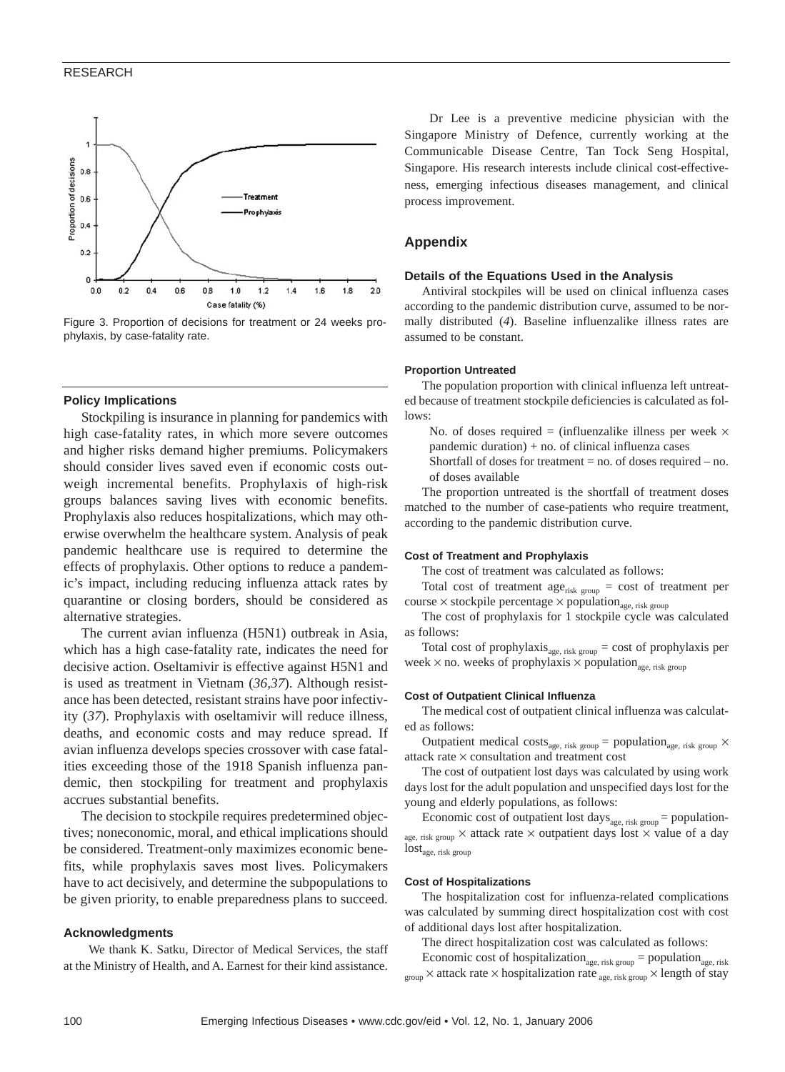

Figure 3. Proportion of decisions for treatment or 24 weeks prophylaxis, by case-fatality rate.

# **Policy Implications**

Stockpiling is insurance in planning for pandemics with high case-fatality rates, in which more severe outcomes and higher risks demand higher premiums. Policymakers should consider lives saved even if economic costs outweigh incremental benefits. Prophylaxis of high-risk groups balances saving lives with economic benefits. Prophylaxis also reduces hospitalizations, which may otherwise overwhelm the healthcare system. Analysis of peak pandemic healthcare use is required to determine the effects of prophylaxis. Other options to reduce a pandemic's impact, including reducing influenza attack rates by quarantine or closing borders, should be considered as alternative strategies.

The current avian influenza (H5N1) outbreak in Asia, which has a high case-fatality rate, indicates the need for decisive action. Oseltamivir is effective against H5N1 and is used as treatment in Vietnam (*36,37*). Although resistance has been detected, resistant strains have poor infectivity (*37*). Prophylaxis with oseltamivir will reduce illness, deaths, and economic costs and may reduce spread. If avian influenza develops species crossover with case fatalities exceeding those of the 1918 Spanish influenza pandemic, then stockpiling for treatment and prophylaxis accrues substantial benefits.

The decision to stockpile requires predetermined objectives; noneconomic, moral, and ethical implications should be considered. Treatment-only maximizes economic benefits, while prophylaxis saves most lives. Policymakers have to act decisively, and determine the subpopulations to be given priority, to enable preparedness plans to succeed.

## **Acknowledgments**

We thank K. Satku, Director of Medical Services, the staff at the Ministry of Health, and A. Earnest for their kind assistance.

Dr Lee is a preventive medicine physician with the Singapore Ministry of Defence, currently working at the Communicable Disease Centre, Tan Tock Seng Hospital, Singapore. His research interests include clinical cost-effectiveness, emerging infectious diseases management, and clinical process improvement.

# **Appendix**

## **Details of the Equations Used in the Analysis**

Antiviral stockpiles will be used on clinical influenza cases according to the pandemic distribution curve, assumed to be normally distributed (*4*). Baseline influenzalike illness rates are assumed to be constant.

## **Proportion Untreated**

The population proportion with clinical influenza left untreated because of treatment stockpile deficiencies is calculated as follows:

No. of doses required = (influenzalike illness per week  $\times$ pandemic duration) + no. of clinical influenza cases Shortfall of doses for treatment  $=$  no. of doses required  $-$  no. of doses available

The proportion untreated is the shortfall of treatment doses matched to the number of case-patients who require treatment, according to the pandemic distribution curve.

#### **Cost of Treatment and Prophylaxis**

The cost of treatment was calculated as follows:

Total cost of treatment age<sub>risk group</sub> = cost of treatment per course  $\times$  stockpile percentage  $\times$  population<sub>age, risk group</sub>

The cost of prophylaxis for 1 stockpile cycle was calculated as follows:

Total cost of prophylaxis  $_{\text{age, risk group}} = \text{cost of prophylaxis per}$ week  $\times$  no. weeks of prophylaxis  $\times$  population<sub>age, risk group</sub>

## **Cost of Outpatient Clinical Influenza**

The medical cost of outpatient clinical influenza was calculated as follows:

Outpatient medical costs<sub>age, risk group</sub> = population<sub>age, risk group</sub>  $\times$ attack rate × consultation and treatment cost

The cost of outpatient lost days was calculated by using work days lost for the adult population and unspecified days lost for the young and elderly populations, as follows:

Economic cost of outpatient lost days<sub>age, risk group</sub> = populationage, risk group  $\times$  attack rate  $\times$  outpatient days lost  $\times$  value of a day  $\text{lost}_\text{age, risk group}$ 

#### **Cost of Hospitalizations**

The hospitalization cost for influenza-related complications was calculated by summing direct hospitalization cost with cost of additional days lost after hospitalization.

The direct hospitalization cost was calculated as follows:

Economic cost of hospitalization<sub>age, risk group</sub> = population<sub>age, risk</sub>  $_{\rm group}$  × attack rate × hospitalization rate  $_{\rm age,\,risk\,group}$  × length of stay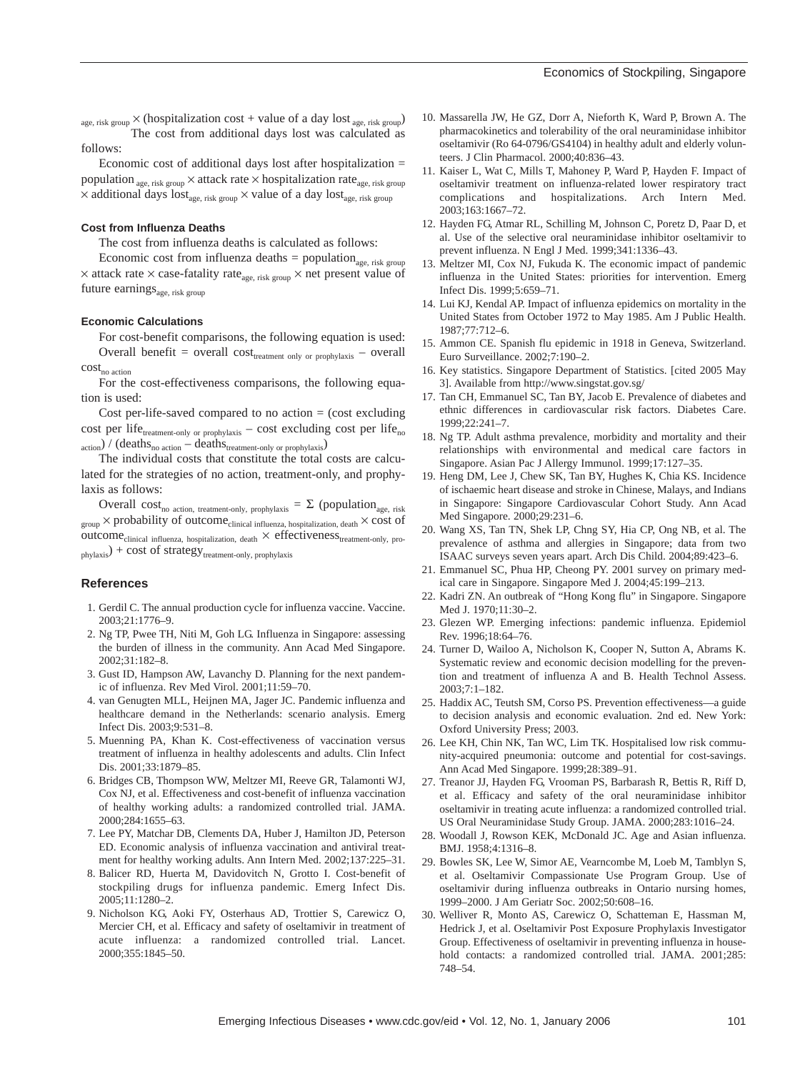$_{\rm age,\;risk\;group}\times$  (hospitalization cost + value of a day lost  $_{\rm age,\;risk\;group}$ The cost from additional days lost was calculated as follows:

Economic cost of additional days lost after hospitalization = population <sub>age, risk group</sub>  $\times$  attack rate  $\times$  hospitalization rate<sub>age, risk group</sub>  $\times$  additional days lost<sub>age, risk group</sub>  $\times$  value of a day lost<sub>age, risk group</sub>

#### **Cost from Influenza Deaths**

The cost from influenza deaths is calculated as follows:

Economic cost from influenza deaths = population<sub>age, risk group</sub>  $\times$  attack rate  $\times$  case-fatality rate<sub>age, risk group</sub>  $\times$  net present value of future earnings $_{\text{age, risk group}}$ 

### **Economic Calculations**

For cost-benefit comparisons, the following equation is used: Overall benefit = overall  $cost_{treatment only or prophylaxis}$  – overall  $cost_{no\ action}$ 

For the cost-effectiveness comparisons, the following equation is used:

Cost per-life-saved compared to no action  $=$  (cost excluding cost per life<sub>treatment-only or prophylaxis</sub> – cost excluding cost per life<sub>no</sub>  $_{\rm action}$ ) / (deaths<sub>no action</sub> – deaths<sub>treatment-only or prophylaxis</sub>)

The individual costs that constitute the total costs are calculated for the strategies of no action, treatment-only, and prophylaxis as follows:

Overall cost<sub>no action, treatment-only, prophylaxis</sub> =  $\Sigma$  (population<sub>age, risk</sub>  $_{\rm group}$   $\times$  probability of outcome<sub>clinical influenza, hospitalization, death</sub>  $\times$  cost of  $outcome_{clinical~influenza,~hospitalization,~death} \times effectiveness_{treatment-only,~pro-}$  $_{\text{phys}}$ ) + cost of strategy<sub>treatment-only, prophylaxis</sub>

#### **References**

- 1. Gerdil C. The annual production cycle for influenza vaccine. Vaccine. 2003;21:1776–9.
- 2. Ng TP, Pwee TH, Niti M, Goh LG. Influenza in Singapore: assessing the burden of illness in the community. Ann Acad Med Singapore. 2002;31:182–8.
- 3. Gust ID, Hampson AW, Lavanchy D. Planning for the next pandemic of influenza. Rev Med Virol. 2001;11:59–70.
- 4. van Genugten MLL, Heijnen MA, Jager JC. Pandemic influenza and healthcare demand in the Netherlands: scenario analysis. Emerg Infect Dis. 2003;9:531–8.
- 5. Muenning PA, Khan K. Cost-effectiveness of vaccination versus treatment of influenza in healthy adolescents and adults. Clin Infect Dis. 2001;33:1879–85.
- 6. Bridges CB, Thompson WW, Meltzer MI, Reeve GR, Talamonti WJ, Cox NJ, et al. Effectiveness and cost-benefit of influenza vaccination of healthy working adults: a randomized controlled trial. JAMA. 2000;284:1655–63.
- 7. Lee PY, Matchar DB, Clements DA, Huber J, Hamilton JD, Peterson ED. Economic analysis of influenza vaccination and antiviral treatment for healthy working adults. Ann Intern Med. 2002;137:225–31.
- 8. Balicer RD, Huerta M, Davidovitch N, Grotto I. Cost-benefit of stockpiling drugs for influenza pandemic. Emerg Infect Dis. 2005;11:1280–2.
- 9. Nicholson KG, Aoki FY, Osterhaus AD, Trottier S, Carewicz O, Mercier CH, et al. Efficacy and safety of oseltamivir in treatment of acute influenza: a randomized controlled trial. Lancet. 2000;355:1845–50.
- 10. Massarella JW, He GZ, Dorr A, Nieforth K, Ward P, Brown A. The pharmacokinetics and tolerability of the oral neuraminidase inhibitor oseltamivir (Ro 64-0796/GS4104) in healthy adult and elderly volunteers. J Clin Pharmacol. 2000;40:836–43.
- 11. Kaiser L, Wat C, Mills T, Mahoney P, Ward P, Hayden F. Impact of oseltamivir treatment on influenza-related lower respiratory tract complications and hospitalizations. Arch Intern Med. 2003;163:1667–72.
- 12. Hayden FG, Atmar RL, Schilling M, Johnson C, Poretz D, Paar D, et al. Use of the selective oral neuraminidase inhibitor oseltamivir to prevent influenza. N Engl J Med. 1999;341:1336–43.
- 13. Meltzer MI, Cox NJ, Fukuda K. The economic impact of pandemic influenza in the United States: priorities for intervention. Emerg Infect Dis. 1999;5:659–71.
- 14. Lui KJ, Kendal AP. Impact of influenza epidemics on mortality in the United States from October 1972 to May 1985. Am J Public Health. 1987;77:712–6.
- 15. Ammon CE. Spanish flu epidemic in 1918 in Geneva, Switzerland. Euro Surveillance. 2002;7:190–2.
- 16. Key statistics. Singapore Department of Statistics. [cited 2005 May 3]. Available from http://www.singstat.gov.sg/
- 17. Tan CH, Emmanuel SC, Tan BY, Jacob E. Prevalence of diabetes and ethnic differences in cardiovascular risk factors. Diabetes Care. 1999;22:241–7.
- 18. Ng TP. Adult asthma prevalence, morbidity and mortality and their relationships with environmental and medical care factors in Singapore. Asian Pac J Allergy Immunol. 1999;17:127–35.
- 19. Heng DM, Lee J, Chew SK, Tan BY, Hughes K, Chia KS. Incidence of ischaemic heart disease and stroke in Chinese, Malays, and Indians in Singapore: Singapore Cardiovascular Cohort Study. Ann Acad Med Singapore. 2000;29:231–6.
- 20. Wang XS, Tan TN, Shek LP, Chng SY, Hia CP, Ong NB, et al. The prevalence of asthma and allergies in Singapore; data from two ISAAC surveys seven years apart. Arch Dis Child. 2004;89:423–6.
- 21. Emmanuel SC, Phua HP, Cheong PY. 2001 survey on primary medical care in Singapore. Singapore Med J. 2004;45:199–213.
- 22. Kadri ZN. An outbreak of "Hong Kong flu" in Singapore. Singapore Med J. 1970;11:30–2.
- 23. Glezen WP. Emerging infections: pandemic influenza. Epidemiol Rev. 1996;18:64–76.
- 24. Turner D, Wailoo A, Nicholson K, Cooper N, Sutton A, Abrams K. Systematic review and economic decision modelling for the prevention and treatment of influenza A and B. Health Technol Assess. 2003;7:1–182.
- 25. Haddix AC, Teutsh SM, Corso PS. Prevention effectiveness—a guide to decision analysis and economic evaluation. 2nd ed. New York: Oxford University Press; 2003.
- 26. Lee KH, Chin NK, Tan WC, Lim TK. Hospitalised low risk community-acquired pneumonia: outcome and potential for cost-savings. Ann Acad Med Singapore. 1999;28:389–91.
- 27. Treanor JJ, Hayden FG, Vrooman PS, Barbarash R, Bettis R, Riff D, et al. Efficacy and safety of the oral neuraminidase inhibitor oseltamivir in treating acute influenza: a randomized controlled trial. US Oral Neuraminidase Study Group. JAMA. 2000;283:1016–24.
- 28. Woodall J, Rowson KEK, McDonald JC. Age and Asian influenza. BMJ. 1958;4:1316–8.
- 29. Bowles SK, Lee W, Simor AE, Vearncombe M, Loeb M, Tamblyn S, et al. Oseltamivir Compassionate Use Program Group. Use of oseltamivir during influenza outbreaks in Ontario nursing homes, 1999–2000. J Am Geriatr Soc. 2002;50:608–16.
- 30. Welliver R, Monto AS, Carewicz O, Schatteman E, Hassman M, Hedrick J, et al. Oseltamivir Post Exposure Prophylaxis Investigator Group. Effectiveness of oseltamivir in preventing influenza in household contacts: a randomized controlled trial. JAMA. 2001;285: 748–54.